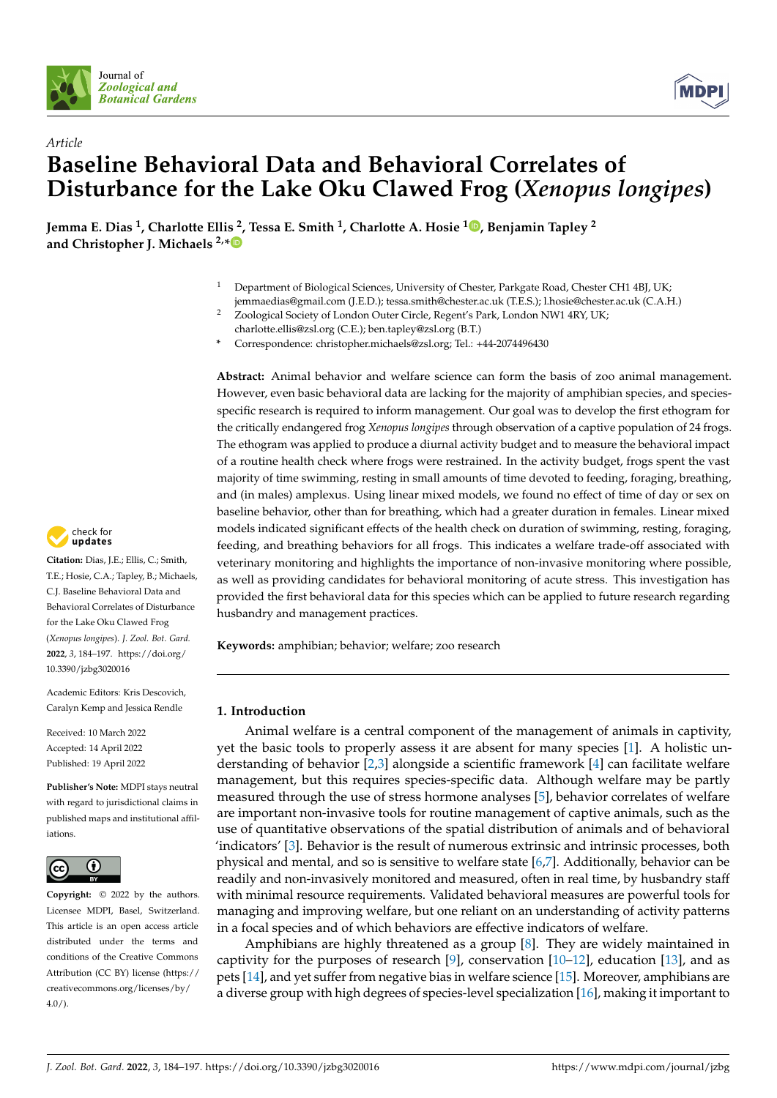



# *Article* **Baseline Behavioral Data and Behavioral Correlates of Disturbance for the Lake Oku Clawed Frog (***Xenopus longipes***)**

**Jemma E. Dias <sup>1</sup> , Charlotte Ellis <sup>2</sup> , Tessa E. Smith <sup>1</sup> , Charlotte A. Hosie <sup>1</sup> [,](https://orcid.org/0000-0002-3869-2108) Benjamin Tapley <sup>2</sup> and Christopher J. Michaels 2,[\\*](https://orcid.org/0000-0002-4733-8397)**

- <sup>1</sup> Department of Biological Sciences, University of Chester, Parkgate Road, Chester CH1 4BJ, UK; jemmaedias@gmail.com (J.E.D.); tessa.smith@chester.ac.uk (T.E.S.); l.hosie@chester.ac.uk (C.A.H.)
- <sup>2</sup> Zoological Society of London Outer Circle, Regent's Park, London NW1 4RY, UK;
	- charlotte.ellis@zsl.org (C.E.); ben.tapley@zsl.org (B.T.)
- **\*** Correspondence: christopher.michaels@zsl.org; Tel.: +44-2074496430

**Abstract:** Animal behavior and welfare science can form the basis of zoo animal management. However, even basic behavioral data are lacking for the majority of amphibian species, and speciesspecific research is required to inform management. Our goal was to develop the first ethogram for the critically endangered frog *Xenopus longipes* through observation of a captive population of 24 frogs. The ethogram was applied to produce a diurnal activity budget and to measure the behavioral impact of a routine health check where frogs were restrained. In the activity budget, frogs spent the vast majority of time swimming, resting in small amounts of time devoted to feeding, foraging, breathing, and (in males) amplexus. Using linear mixed models, we found no effect of time of day or sex on baseline behavior, other than for breathing, which had a greater duration in females. Linear mixed models indicated significant effects of the health check on duration of swimming, resting, foraging, feeding, and breathing behaviors for all frogs. This indicates a welfare trade-off associated with veterinary monitoring and highlights the importance of non-invasive monitoring where possible, as well as providing candidates for behavioral monitoring of acute stress. This investigation has provided the first behavioral data for this species which can be applied to future research regarding husbandry and management practices.

**Keywords:** amphibian; behavior; welfare; zoo research

### **1. Introduction**

Animal welfare is a central component of the management of animals in captivity, yet the basic tools to properly assess it are absent for many species [\[1\]](#page-11-0). A holistic understanding of behavior [\[2](#page-11-1)[,3\]](#page-11-2) alongside a scientific framework [\[4\]](#page-11-3) can facilitate welfare management, but this requires species-specific data. Although welfare may be partly measured through the use of stress hormone analyses [\[5\]](#page-11-4), behavior correlates of welfare are important non-invasive tools for routine management of captive animals, such as the use of quantitative observations of the spatial distribution of animals and of behavioral 'indicators' [\[3\]](#page-11-2). Behavior is the result of numerous extrinsic and intrinsic processes, both physical and mental, and so is sensitive to welfare state [\[6,](#page-11-5)[7\]](#page-11-6). Additionally, behavior can be readily and non-invasively monitored and measured, often in real time, by husbandry staff with minimal resource requirements. Validated behavioral measures are powerful tools for managing and improving welfare, but one reliant on an understanding of activity patterns in a focal species and of which behaviors are effective indicators of welfare.

Amphibians are highly threatened as a group [\[8\]](#page-11-7). They are widely maintained in captivity for the purposes of research  $[9]$ , conservation  $[10-12]$  $[10-12]$ , education  $[13]$ , and as pets [\[14\]](#page-11-12), and yet suffer from negative bias in welfare science [\[15\]](#page-11-13). Moreover, amphibians are a diverse group with high degrees of species-level specialization [\[16\]](#page-11-14), making it important to



**Citation:** Dias, J.E.; Ellis, C.; Smith, T.E.; Hosie, C.A.; Tapley, B.; Michaels, C.J. Baseline Behavioral Data and Behavioral Correlates of Disturbance for the Lake Oku Clawed Frog (*Xenopus longipes*). *J. Zool. Bot. Gard.* **2022**, *3*, 184–197. [https://doi.org/](https://doi.org/10.3390/jzbg3020016) [10.3390/jzbg3020016](https://doi.org/10.3390/jzbg3020016)

Academic Editors: Kris Descovich, Caralyn Kemp and Jessica Rendle

Received: 10 March 2022 Accepted: 14 April 2022 Published: 19 April 2022

**Publisher's Note:** MDPI stays neutral with regard to jurisdictional claims in published maps and institutional affiliations.



**Copyright:** © 2022 by the authors. Licensee MDPI, Basel, Switzerland. This article is an open access article distributed under the terms and conditions of the Creative Commons Attribution (CC BY) license [\(https://](https://creativecommons.org/licenses/by/4.0/) [creativecommons.org/licenses/by/](https://creativecommons.org/licenses/by/4.0/)  $4.0/$ ).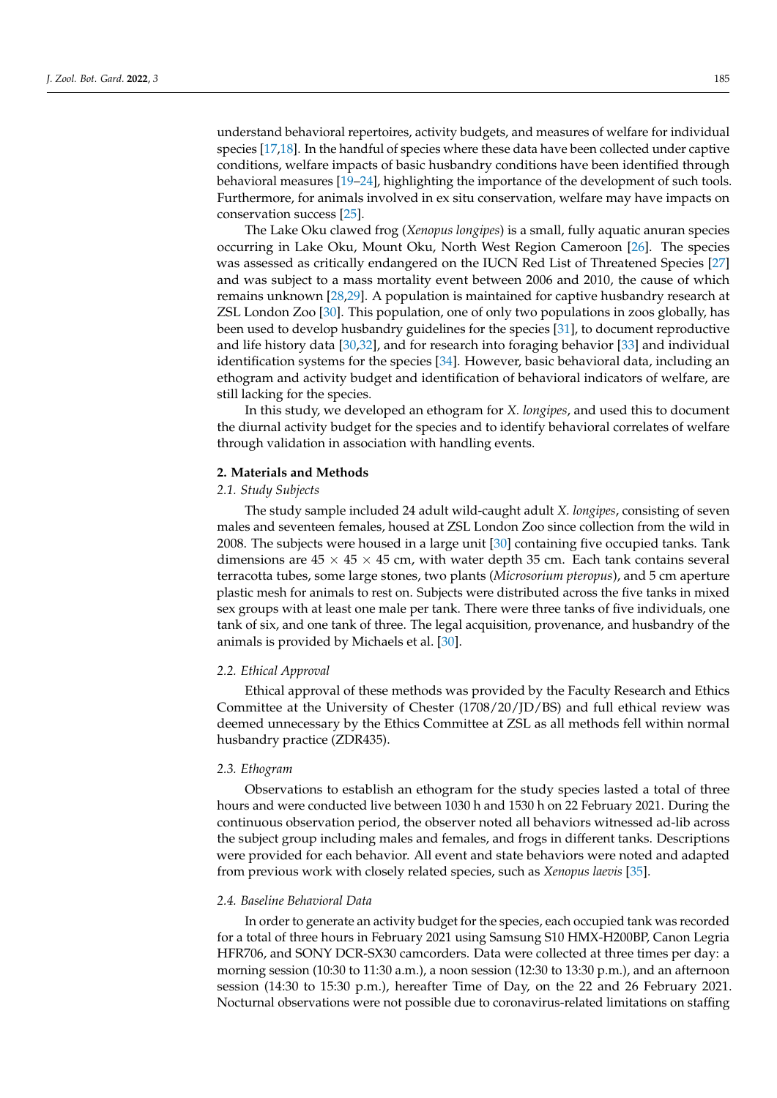understand behavioral repertoires, activity budgets, and measures of welfare for individual species [\[17](#page-11-15)[,18\]](#page-12-0). In the handful of species where these data have been collected under captive conditions, welfare impacts of basic husbandry conditions have been identified through behavioral measures [\[19](#page-12-1)[–24\]](#page-12-2), highlighting the importance of the development of such tools. Furthermore, for animals involved in ex situ conservation, welfare may have impacts on conservation success [\[25\]](#page-12-3).

The Lake Oku clawed frog (*Xenopus longipes*) is a small, fully aquatic anuran species occurring in Lake Oku, Mount Oku, North West Region Cameroon [\[26\]](#page-12-4). The species was assessed as critically endangered on the IUCN Red List of Threatened Species [\[27\]](#page-12-5) and was subject to a mass mortality event between 2006 and 2010, the cause of which remains unknown [\[28,](#page-12-6)[29\]](#page-12-7). A population is maintained for captive husbandry research at ZSL London Zoo [\[30\]](#page-12-8). This population, one of only two populations in zoos globally, has been used to develop husbandry guidelines for the species [\[31\]](#page-12-9), to document reproductive and life history data [\[30,](#page-12-8)[32\]](#page-12-10), and for research into foraging behavior [\[33\]](#page-12-11) and individual identification systems for the species [\[34\]](#page-12-12). However, basic behavioral data, including an ethogram and activity budget and identification of behavioral indicators of welfare, are still lacking for the species.

In this study, we developed an ethogram for *X. longipes*, and used this to document the diurnal activity budget for the species and to identify behavioral correlates of welfare through validation in association with handling events.

### **2. Materials and Methods**

### *2.1. Study Subjects*

The study sample included 24 adult wild-caught adult *X. longipes*, consisting of seven males and seventeen females, housed at ZSL London Zoo since collection from the wild in 2008. The subjects were housed in a large unit [\[30\]](#page-12-8) containing five occupied tanks. Tank dimensions are  $45 \times 45 \times 45$  cm, with water depth 35 cm. Each tank contains several terracotta tubes, some large stones, two plants (*Microsorium pteropus*), and 5 cm aperture plastic mesh for animals to rest on. Subjects were distributed across the five tanks in mixed sex groups with at least one male per tank. There were three tanks of five individuals, one tank of six, and one tank of three. The legal acquisition, provenance, and husbandry of the animals is provided by Michaels et al. [\[30\]](#page-12-8).

#### *2.2. Ethical Approval*

Ethical approval of these methods was provided by the Faculty Research and Ethics Committee at the University of Chester (1708/20/JD/BS) and full ethical review was deemed unnecessary by the Ethics Committee at ZSL as all methods fell within normal husbandry practice (ZDR435).

### *2.3. Ethogram*

Observations to establish an ethogram for the study species lasted a total of three hours and were conducted live between 1030 h and 1530 h on 22 February 2021. During the continuous observation period, the observer noted all behaviors witnessed ad-lib across the subject group including males and females, and frogs in different tanks. Descriptions were provided for each behavior. All event and state behaviors were noted and adapted from previous work with closely related species, such as *Xenopus laevis* [\[35\]](#page-12-13).

#### *2.4. Baseline Behavioral Data*

In order to generate an activity budget for the species, each occupied tank was recorded for a total of three hours in February 2021 using Samsung S10 HMX-H200BP, Canon Legria HFR706, and SONY DCR-SX30 camcorders. Data were collected at three times per day: a morning session (10:30 to 11:30 a.m.), a noon session (12:30 to 13:30 p.m.), and an afternoon session (14:30 to 15:30 p.m.), hereafter Time of Day, on the 22 and 26 February 2021. Nocturnal observations were not possible due to coronavirus-related limitations on staffing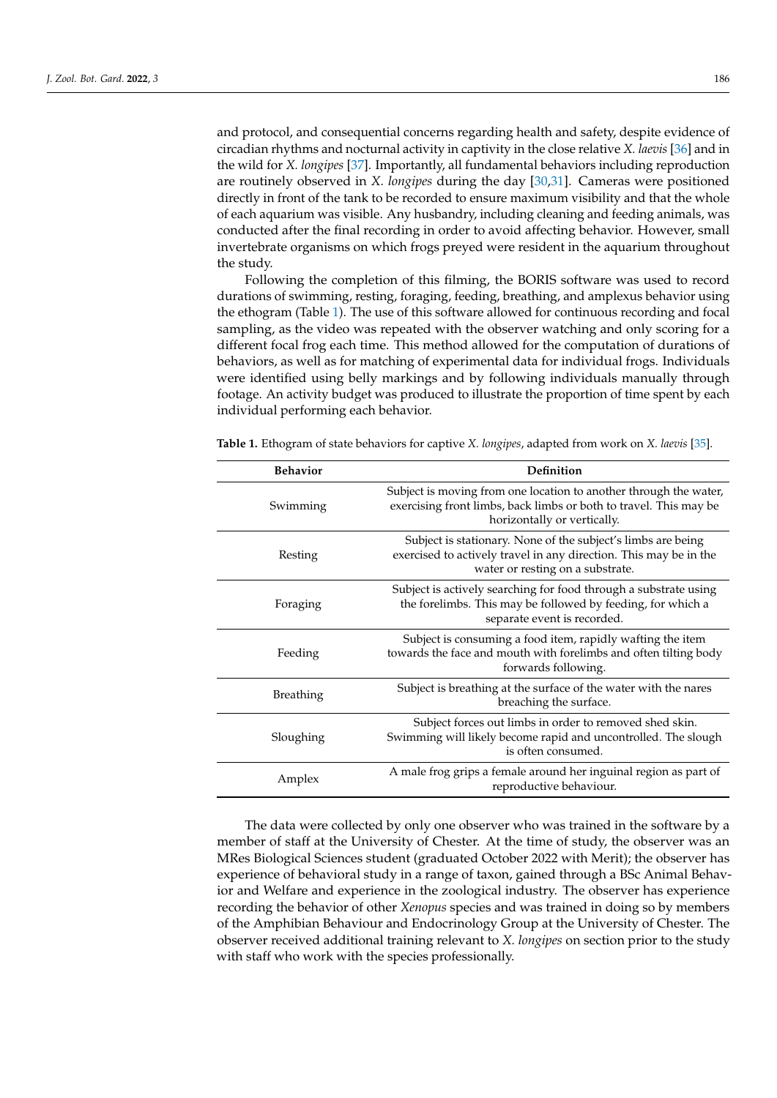and protocol, and consequential concerns regarding health and safety, despite evidence of circadian rhythms and nocturnal activity in captivity in the close relative *X. laevis* [\[36\]](#page-12-14) and in the wild for *X. longipes* [\[37\]](#page-12-15). Importantly, all fundamental behaviors including reproduction are routinely observed in *X. longipes* during the day [\[30,](#page-12-8)[31\]](#page-12-9). Cameras were positioned directly in front of the tank to be recorded to ensure maximum visibility and that the whole of each aquarium was visible. Any husbandry, including cleaning and feeding animals, was conducted after the final recording in order to avoid affecting behavior. However, small invertebrate organisms on which frogs preyed were resident in the aquarium throughout the study.

Following the completion of this filming, the BORIS software was used to record durations of swimming, resting, foraging, feeding, breathing, and amplexus behavior using the ethogram (Table [1\)](#page-2-0). The use of this software allowed for continuous recording and focal sampling, as the video was repeated with the observer watching and only scoring for a different focal frog each time. This method allowed for the computation of durations of behaviors, as well as for matching of experimental data for individual frogs. Individuals were identified using belly markings and by following individuals manually through footage. An activity budget was produced to illustrate the proportion of time spent by each individual performing each behavior.

<span id="page-2-0"></span>

| Table 1. Ethogram of state behaviors for captive X. longipes, adapted from work on X. laevis [35]. |
|----------------------------------------------------------------------------------------------------|
|                                                                                                    |

| <b>Behavior</b>  | Definition                                                                                                                                                            |
|------------------|-----------------------------------------------------------------------------------------------------------------------------------------------------------------------|
| Swimming         | Subject is moving from one location to another through the water,<br>exercising front limbs, back limbs or both to travel. This may be<br>horizontally or vertically. |
| Resting          | Subject is stationary. None of the subject's limbs are being<br>exercised to actively travel in any direction. This may be in the<br>water or resting on a substrate. |
| Foraging         | Subject is actively searching for food through a substrate using<br>the forelimbs. This may be followed by feeding, for which a<br>separate event is recorded.        |
| Feeding          | Subject is consuming a food item, rapidly wafting the item<br>towards the face and mouth with forelimbs and often tilting body<br>forwards following.                 |
| <b>Breathing</b> | Subject is breathing at the surface of the water with the nares<br>breaching the surface.                                                                             |
| Sloughing        | Subject forces out limbs in order to removed shed skin.<br>Swimming will likely become rapid and uncontrolled. The slough<br>is often consumed.                       |
| Amplex           | A male frog grips a female around her inguinal region as part of<br>reproductive behaviour.                                                                           |

The data were collected by only one observer who was trained in the software by a member of staff at the University of Chester. At the time of study, the observer was an MRes Biological Sciences student (graduated October 2022 with Merit); the observer has experience of behavioral study in a range of taxon, gained through a BSc Animal Behavior and Welfare and experience in the zoological industry. The observer has experience recording the behavior of other *Xenopus* species and was trained in doing so by members of the Amphibian Behaviour and Endocrinology Group at the University of Chester. The observer received additional training relevant to *X. longipes* on section prior to the study with staff who work with the species professionally.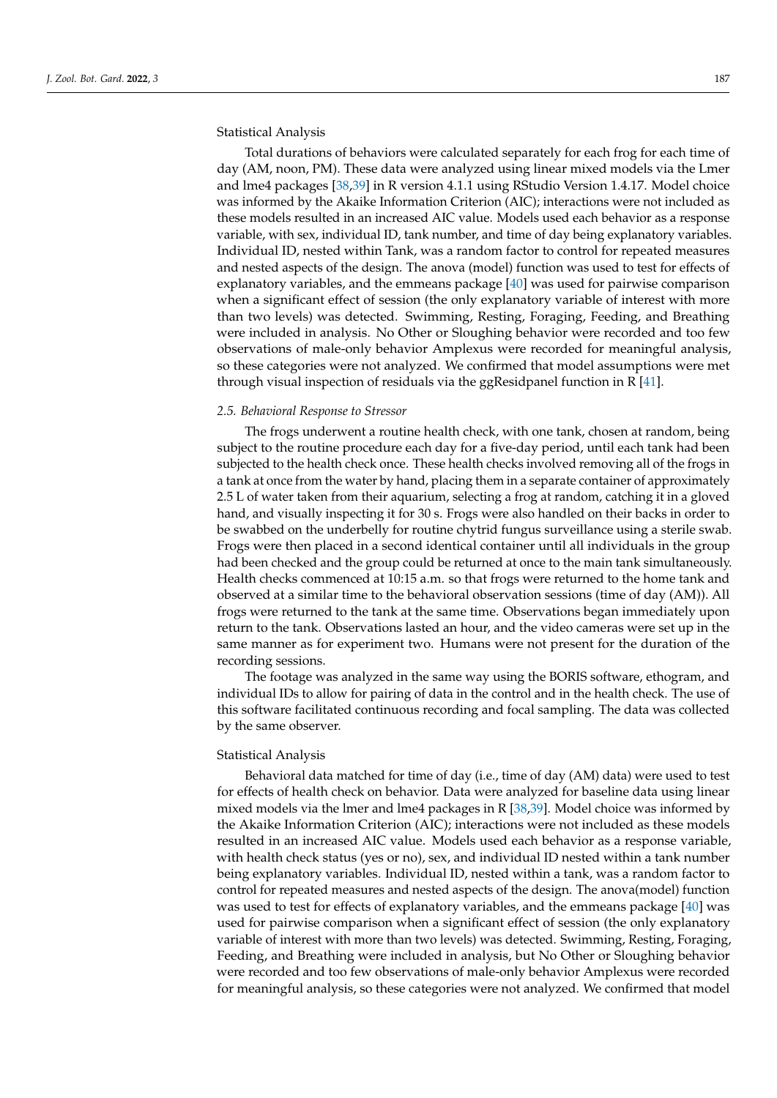Statistical Analysis

Total durations of behaviors were calculated separately for each frog for each time of day (AM, noon, PM). These data were analyzed using linear mixed models via the Lmer and lme4 packages [\[38,](#page-12-16)[39\]](#page-12-17) in R version 4.1.1 using RStudio Version 1.4.17. Model choice was informed by the Akaike Information Criterion (AIC); interactions were not included as these models resulted in an increased AIC value. Models used each behavior as a response variable, with sex, individual ID, tank number, and time of day being explanatory variables. Individual ID, nested within Tank, was a random factor to control for repeated measures and nested aspects of the design. The anova (model) function was used to test for effects of explanatory variables, and the emmeans package [\[40\]](#page-12-18) was used for pairwise comparison when a significant effect of session (the only explanatory variable of interest with more than two levels) was detected. Swimming, Resting, Foraging, Feeding, and Breathing were included in analysis. No Other or Sloughing behavior were recorded and too few observations of male-only behavior Amplexus were recorded for meaningful analysis, so these categories were not analyzed. We confirmed that model assumptions were met through visual inspection of residuals via the ggResidpanel function in R [\[41\]](#page-12-19).

### *2.5. Behavioral Response to Stressor*

The frogs underwent a routine health check, with one tank, chosen at random, being subject to the routine procedure each day for a five-day period, until each tank had been subjected to the health check once. These health checks involved removing all of the frogs in a tank at once from the water by hand, placing them in a separate container of approximately 2.5 L of water taken from their aquarium, selecting a frog at random, catching it in a gloved hand, and visually inspecting it for 30 s. Frogs were also handled on their backs in order to be swabbed on the underbelly for routine chytrid fungus surveillance using a sterile swab. Frogs were then placed in a second identical container until all individuals in the group had been checked and the group could be returned at once to the main tank simultaneously. Health checks commenced at 10:15 a.m. so that frogs were returned to the home tank and observed at a similar time to the behavioral observation sessions (time of day (AM)). All frogs were returned to the tank at the same time. Observations began immediately upon return to the tank. Observations lasted an hour, and the video cameras were set up in the same manner as for experiment two. Humans were not present for the duration of the recording sessions.

The footage was analyzed in the same way using the BORIS software, ethogram, and individual IDs to allow for pairing of data in the control and in the health check. The use of this software facilitated continuous recording and focal sampling. The data was collected by the same observer.

#### Statistical Analysis

Behavioral data matched for time of day (i.e., time of day (AM) data) were used to test for effects of health check on behavior. Data were analyzed for baseline data using linear mixed models via the lmer and lme4 packages in R [\[38](#page-12-16)[,39\]](#page-12-17). Model choice was informed by the Akaike Information Criterion (AIC); interactions were not included as these models resulted in an increased AIC value. Models used each behavior as a response variable, with health check status (yes or no), sex, and individual ID nested within a tank number being explanatory variables. Individual ID, nested within a tank, was a random factor to control for repeated measures and nested aspects of the design. The anova(model) function was used to test for effects of explanatory variables, and the emmeans package [\[40\]](#page-12-18) was used for pairwise comparison when a significant effect of session (the only explanatory variable of interest with more than two levels) was detected. Swimming, Resting, Foraging, Feeding, and Breathing were included in analysis, but No Other or Sloughing behavior were recorded and too few observations of male-only behavior Amplexus were recorded for meaningful analysis, so these categories were not analyzed. We confirmed that model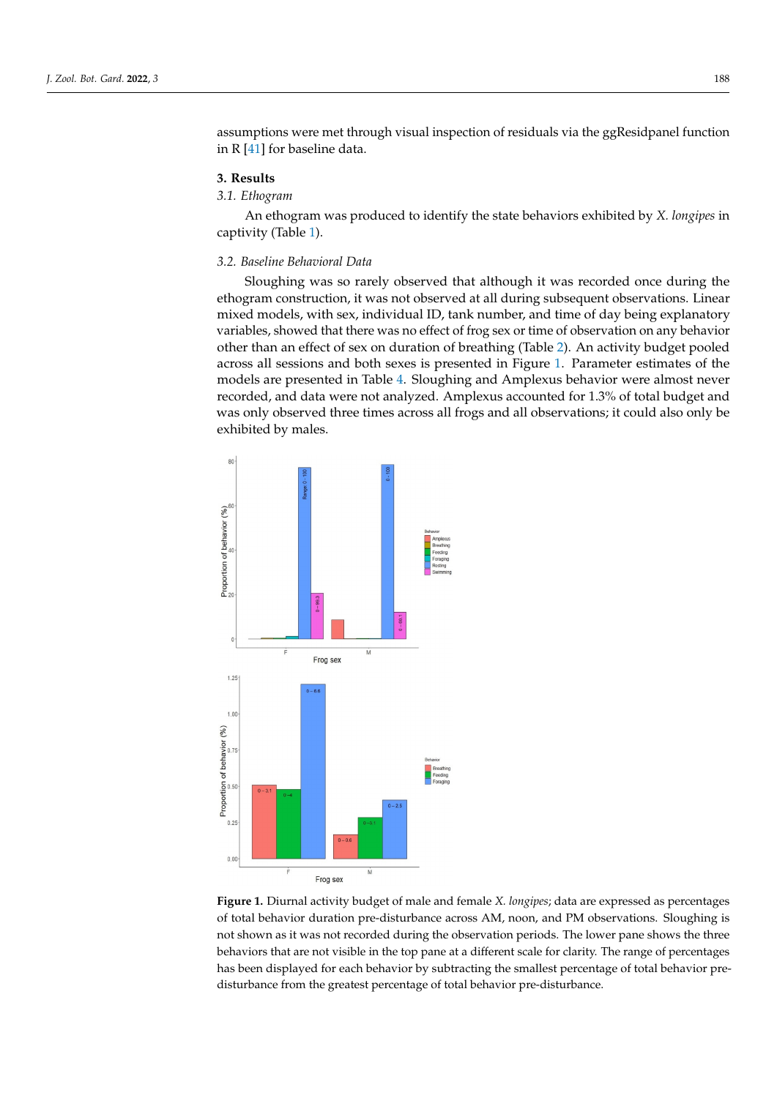assumptions were met through visual inspection of residuals via the ggResidpanel function *J. Zool. Bot. Gard.* **2022**, *3*, FOR PEER REVIEW 5 in R [\[41\]](#page-12-19) for baseline data.

### **3. Results**

## *3.1. Ethogram*

An ethogram was produced to identify the state behaviors exhibited by *X. longipes* in captivity (Table [1\)](#page-2-0).

### 3.2. Baseline Behavioral Data

Sloughing was so rarely observed that although it was recorded once during the ethogram construction, it was not observed at all during subsequent observations. Linear mixed models, with sex, individual ID, tank number, and time of day being explanatory variables, showed that there was no effect of frog sex or time of observation on any behavior other than an effect of sex on duration of breathing (Table [2\)](#page-5-0). An activity budget pooled across all sessions and both sexes is presented in Figure [1.](#page-4-0) Parameter estimates of the models are presented in Table [4.](#page-7-0) Sloughing and Amplexus behavior were almost never recorded, and data were not analyzed. Amplexus accounted for 1.3% of total budget and recorded, and data were not analyzed. Amplexus accounted for 1.3% of total budget and was only observed three times across all frogs and all observations; it could also only be was only observed three times across all frogs and all observations; it could also only be exhibited by males. exhibited by males. pooled across all sessions and both sexes is presented in Figure 1. Parameter estimates of

<span id="page-4-0"></span>

**Figure 1.** Diurnal activity budget of male and female *X. longipes*; data are expressed as percentages of total behavior duration pre-disturbance across AM, noon, and PM observations. Sloughing is not shown as it was not recorded during the observation periods. The lower pane shows the three behaviors that are not visible in the top pane at a different scale for clarity. The range of percentages has been displayed for each behavior by subtracting the smallest percentage of total behavior predisturbance from the greatest percentage of total behavior pre-disturbance.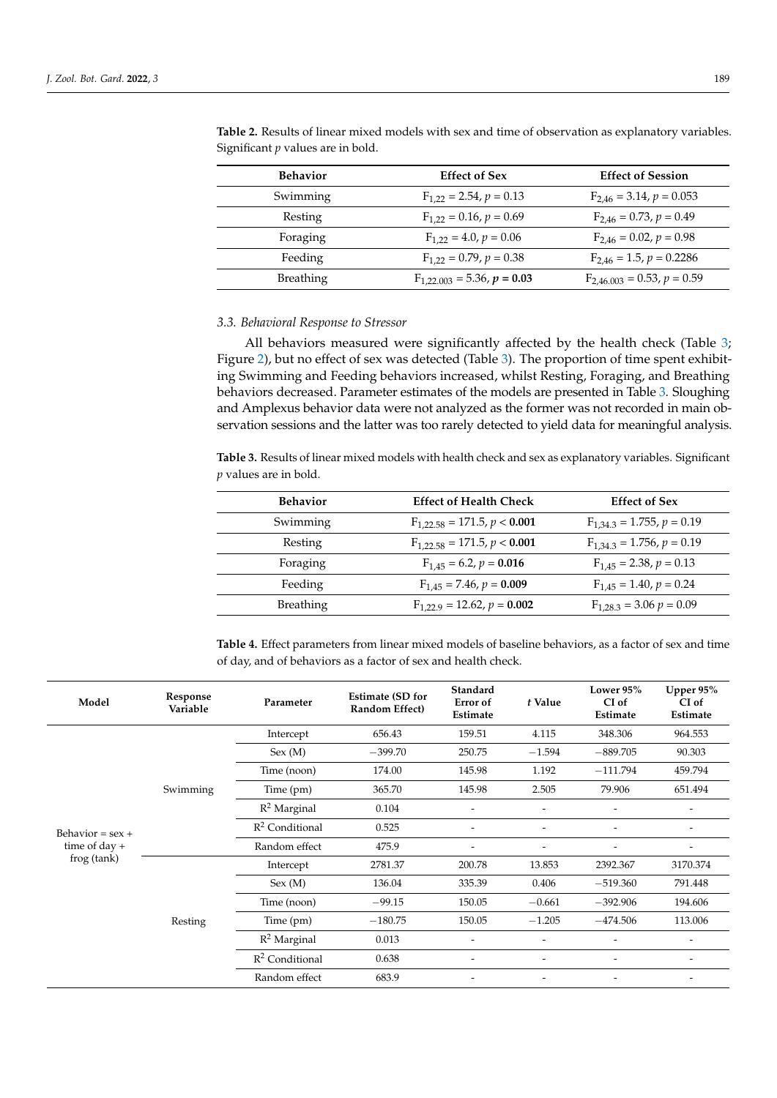| <b>Behavior</b>  | <b>Effect of Sex</b>            | <b>Effect of Session</b>        |
|------------------|---------------------------------|---------------------------------|
| Swimming         | $F_{1,22} = 2.54, p = 0.13$     | $F_{2,46} = 3.14, p = 0.053$    |
| Resting          | $F_{1,22} = 0.16, p = 0.69$     | $F_{2,46} = 0.73, p = 0.49$     |
| Foraging         | $F_{1,22} = 4.0, p = 0.06$      | $F_{2,46} = 0.02, p = 0.98$     |
| Feeding          | $F_{1,22} = 0.79, p = 0.38$     | $F_{2,46} = 1.5, p = 0.2286$    |
| <b>Breathing</b> | $F_{1,22,003} = 5.36, p = 0.03$ | $F_{2,46,003} = 0.53, p = 0.59$ |

<span id="page-5-0"></span>**Table 2.** Results of linear mixed models with sex and time of observation as explanatory variables. Significant *p* values are in bold.

### *3.3. Behavioral Response to Stressor*

All behaviors measured were significantly affected by the health check (Table [3;](#page-5-1) Figure [2\)](#page-7-1), but no effect of sex was detected (Table [3\)](#page-5-1). The proportion of time spent exhibiting Swimming and Feeding behaviors increased, whilst Resting, Foraging, and Breathing behaviors decreased. Parameter estimates of the models are presented in Table [3.](#page-5-1) Sloughing and Amplexus behavior data were not analyzed as the former was not recorded in main observation sessions and the latter was too rarely detected to yield data for meaningful analysis.

<span id="page-5-1"></span>**Table 3.** Results of linear mixed models with health check and sex as explanatory variables. Significant *p* values are in bold.

| <b>Behavior</b>  | <b>Effect of Health Check</b>    | <b>Effect of Sex</b>           |
|------------------|----------------------------------|--------------------------------|
| Swimming         | $F_{1,22,58} = 171.5, p < 0.001$ | $F_{1,34,3} = 1.755, p = 0.19$ |
| Resting          | $F_{1,22,58} = 171.5, p < 0.001$ | $F_{1,34,3} = 1.756, p = 0.19$ |
| Foraging         | $F_{1,45} = 6.2, p = 0.016$      | $F_{1,45} = 2.38, p = 0.13$    |
| Feeding          | $F_{1,45} = 7.46, p = 0.009$     | $F_{1,45} = 1.40, p = 0.24$    |
| <b>Breathing</b> | $F_{1,22,9} = 12.62, p = 0.002$  | $F_{1,28,3} = 3.06 p = 0.09$   |

**Table 4.** Effect parameters from linear mixed models of baseline behaviors, as a factor of sex and time of day, and of behaviors as a factor of sex and health check.

| Model                                                | Response<br>Variable | Parameter         | <b>Estimate (SD for</b><br>Random Effect) | Standard<br>Error of<br>Estimate | t Value                  | Lower 95%<br>CI of<br>Estimate | Upper $95%$<br>CI of<br>Estimate |
|------------------------------------------------------|----------------------|-------------------|-------------------------------------------|----------------------------------|--------------------------|--------------------------------|----------------------------------|
|                                                      | Swimming             | Intercept         | 656.43                                    | 159.51                           | 4.115                    | 348.306                        | 964.553                          |
|                                                      |                      | Sex (M)           | $-399.70$                                 | 250.75                           | $-1.594$                 | $-889.705$                     | 90.303                           |
|                                                      |                      | Time (noon)       | 174.00                                    | 145.98                           | 1.192                    | $-111.794$                     | 459.794                          |
|                                                      |                      | Time (pm)         | 365.70                                    | 145.98                           | 2.505                    | 79.906                         | 651.494                          |
| Behavior = $sex +$<br>time of day $+$<br>frog (tank) |                      | $R^2$ Marginal    | 0.104                                     | $\overline{\phantom{a}}$         | ٠                        |                                |                                  |
|                                                      |                      | $R^2$ Conditional | 0.525                                     | $\overline{\phantom{a}}$         | ٠                        |                                |                                  |
|                                                      |                      | Random effect     | 475.9                                     | $\overline{\phantom{a}}$         | $\overline{\phantom{a}}$ | $\overline{\phantom{0}}$       | $\overline{\phantom{a}}$         |
|                                                      | Resting              | Intercept         | 2781.37                                   | 200.78                           | 13.853                   | 2392.367                       | 3170.374                         |
|                                                      |                      | Sex (M)           | 136.04                                    | 335.39                           | 0.406                    | $-519.360$                     | 791.448                          |
|                                                      |                      | Time (noon)       | $-99.15$                                  | 150.05                           | $-0.661$                 | $-392.906$                     | 194.606                          |
|                                                      |                      | Time (pm)         | $-180.75$                                 | 150.05                           | $-1.205$                 | $-474.506$                     | 113.006                          |
|                                                      |                      | $R^2$ Marginal    | 0.013                                     | $\overline{\phantom{a}}$         |                          |                                |                                  |
|                                                      |                      | $R^2$ Conditional | 0.638                                     | $\overline{\phantom{0}}$         | $\overline{\phantom{a}}$ | $\overline{\phantom{a}}$       | $\overline{\phantom{0}}$         |
|                                                      |                      | Random effect     | 683.9                                     | $\overline{\phantom{a}}$         | -                        |                                |                                  |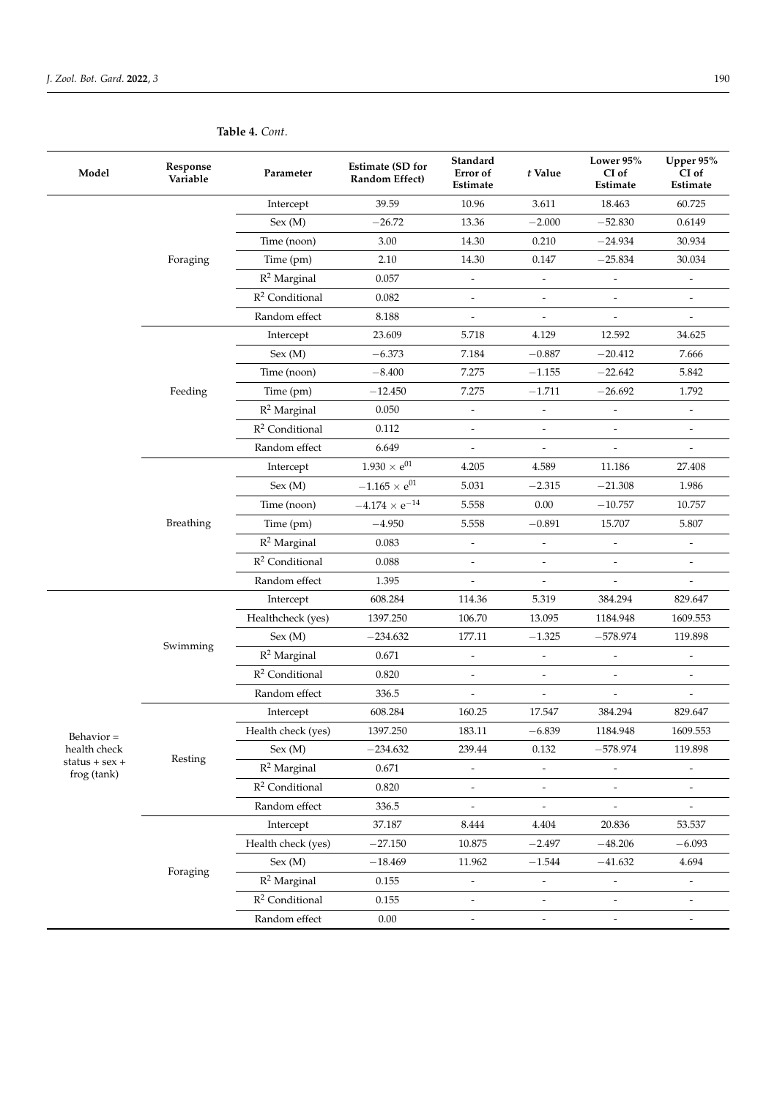| 39.59<br>10.96<br>3.611<br>18.463<br>60.725<br>Intercept<br>Sex (M)<br>$-26.72$<br>13.36<br>$-2.000$<br>$-52.830$<br>0.6149<br>Time (noon)<br>3.00<br>30.934<br>14.30<br>0.210<br>$-24.934$<br>Time (pm)<br>2.10<br>$-25.834$<br>30.034<br>Foraging<br>14.30<br>0.147<br>$R^2$ Marginal<br>0.057<br>$\overline{\phantom{a}}$<br>$\overline{\phantom{a}}$<br>$\overline{\phantom{a}}$<br>$\overline{a}$<br>$R^2$ Conditional<br>0.082<br>Random effect<br>8.188<br>$\overline{\phantom{a}}$<br>$\overline{\phantom{a}}$<br>$\qquad \qquad \blacksquare$<br>$\overline{a}$<br>23.609<br>4.129<br>12.592<br>Intercept<br>5.718<br>34.625<br>Sex (M)<br>$-0.887$<br>$-6.373$<br>7.184<br>$-20.412$<br>7.666<br>Time (noon)<br>$-8.400$<br>7.275<br>$-1.155$<br>$-22.642$<br>5.842<br>Time (pm)<br>7.275<br>1.792<br>Feeding<br>$-12.450$<br>$-1.711$<br>$-26.692$<br>$R^2$ Marginal<br>0.050<br>$\overline{\phantom{a}}$<br>$\blacksquare$<br>$\overline{\phantom{a}}$<br>$\overline{\phantom{a}}$ | Model | Response<br>Variable | Parameter         | <b>Estimate (SD for</b><br>Random Effect) | Standard<br>Error of<br>Estimate | t Value | Lower 95%<br>CI of<br>Estimate | Upper 95%<br>CI of<br>Estimate |
|------------------------------------------------------------------------------------------------------------------------------------------------------------------------------------------------------------------------------------------------------------------------------------------------------------------------------------------------------------------------------------------------------------------------------------------------------------------------------------------------------------------------------------------------------------------------------------------------------------------------------------------------------------------------------------------------------------------------------------------------------------------------------------------------------------------------------------------------------------------------------------------------------------------------------------------------------------------------------------------------|-------|----------------------|-------------------|-------------------------------------------|----------------------------------|---------|--------------------------------|--------------------------------|
|                                                                                                                                                                                                                                                                                                                                                                                                                                                                                                                                                                                                                                                                                                                                                                                                                                                                                                                                                                                                |       |                      |                   |                                           |                                  |         |                                |                                |
|                                                                                                                                                                                                                                                                                                                                                                                                                                                                                                                                                                                                                                                                                                                                                                                                                                                                                                                                                                                                |       |                      |                   |                                           |                                  |         |                                |                                |
|                                                                                                                                                                                                                                                                                                                                                                                                                                                                                                                                                                                                                                                                                                                                                                                                                                                                                                                                                                                                |       |                      |                   |                                           |                                  |         |                                |                                |
|                                                                                                                                                                                                                                                                                                                                                                                                                                                                                                                                                                                                                                                                                                                                                                                                                                                                                                                                                                                                |       |                      |                   |                                           |                                  |         |                                |                                |
|                                                                                                                                                                                                                                                                                                                                                                                                                                                                                                                                                                                                                                                                                                                                                                                                                                                                                                                                                                                                |       |                      |                   |                                           |                                  |         |                                |                                |
|                                                                                                                                                                                                                                                                                                                                                                                                                                                                                                                                                                                                                                                                                                                                                                                                                                                                                                                                                                                                |       |                      |                   |                                           |                                  |         |                                |                                |
|                                                                                                                                                                                                                                                                                                                                                                                                                                                                                                                                                                                                                                                                                                                                                                                                                                                                                                                                                                                                |       |                      |                   |                                           |                                  |         |                                |                                |
|                                                                                                                                                                                                                                                                                                                                                                                                                                                                                                                                                                                                                                                                                                                                                                                                                                                                                                                                                                                                |       |                      |                   |                                           |                                  |         |                                |                                |
|                                                                                                                                                                                                                                                                                                                                                                                                                                                                                                                                                                                                                                                                                                                                                                                                                                                                                                                                                                                                |       |                      |                   |                                           |                                  |         |                                |                                |
|                                                                                                                                                                                                                                                                                                                                                                                                                                                                                                                                                                                                                                                                                                                                                                                                                                                                                                                                                                                                |       |                      |                   |                                           |                                  |         |                                |                                |
|                                                                                                                                                                                                                                                                                                                                                                                                                                                                                                                                                                                                                                                                                                                                                                                                                                                                                                                                                                                                |       |                      |                   |                                           |                                  |         |                                |                                |
|                                                                                                                                                                                                                                                                                                                                                                                                                                                                                                                                                                                                                                                                                                                                                                                                                                                                                                                                                                                                |       |                      |                   |                                           |                                  |         |                                |                                |
|                                                                                                                                                                                                                                                                                                                                                                                                                                                                                                                                                                                                                                                                                                                                                                                                                                                                                                                                                                                                |       |                      | $R^2$ Conditional | 0.112                                     |                                  |         |                                |                                |
| Random effect<br>6.649<br>$\overline{\phantom{a}}$<br>$\overline{\phantom{a}}$<br>$\overline{\phantom{a}}$                                                                                                                                                                                                                                                                                                                                                                                                                                                                                                                                                                                                                                                                                                                                                                                                                                                                                     |       |                      |                   |                                           |                                  |         |                                |                                |
| $1.930 \times e^{01}$<br>4.205<br>4.589<br>11.186<br>27.408<br>Intercept                                                                                                                                                                                                                                                                                                                                                                                                                                                                                                                                                                                                                                                                                                                                                                                                                                                                                                                       |       |                      |                   |                                           |                                  |         |                                |                                |
| $-1.165 \times e^{01}$<br>Sex (M)<br>5.031<br>$-21.308$<br>1.986<br>$-2.315$                                                                                                                                                                                                                                                                                                                                                                                                                                                                                                                                                                                                                                                                                                                                                                                                                                                                                                                   |       |                      |                   |                                           |                                  |         |                                |                                |
| $-4.174 \times e^{-14}$<br>Time (noon)<br>5.558<br>0.00<br>$-10.757$<br>10.757                                                                                                                                                                                                                                                                                                                                                                                                                                                                                                                                                                                                                                                                                                                                                                                                                                                                                                                 |       |                      |                   |                                           |                                  |         |                                |                                |
| Breathing<br>5.807<br>Time (pm)<br>$-4.950$<br>5.558<br>$-0.891$<br>15.707                                                                                                                                                                                                                                                                                                                                                                                                                                                                                                                                                                                                                                                                                                                                                                                                                                                                                                                     |       |                      |                   |                                           |                                  |         |                                |                                |
| $R^2$ Marginal<br>0.083<br>$\overline{\phantom{a}}$<br>$\overline{\phantom{a}}$<br>$\frac{1}{2}$<br>$\overline{\phantom{a}}$                                                                                                                                                                                                                                                                                                                                                                                                                                                                                                                                                                                                                                                                                                                                                                                                                                                                   |       |                      |                   |                                           |                                  |         |                                |                                |
| $R^2$ Conditional<br>0.088<br>$\overline{a}$<br>$\overline{\phantom{a}}$<br>$\overline{a}$                                                                                                                                                                                                                                                                                                                                                                                                                                                                                                                                                                                                                                                                                                                                                                                                                                                                                                     |       |                      |                   |                                           |                                  |         |                                |                                |
| Random effect<br>1.395<br>$\overline{a}$                                                                                                                                                                                                                                                                                                                                                                                                                                                                                                                                                                                                                                                                                                                                                                                                                                                                                                                                                       |       |                      |                   |                                           |                                  |         |                                |                                |
| Intercept<br>608.284<br>114.36<br>5.319<br>384.294<br>829.647                                                                                                                                                                                                                                                                                                                                                                                                                                                                                                                                                                                                                                                                                                                                                                                                                                                                                                                                  |       |                      |                   |                                           |                                  |         |                                |                                |
| Healthcheck (yes)<br>1397.250<br>106.70<br>1184.948<br>1609.553<br>13.095                                                                                                                                                                                                                                                                                                                                                                                                                                                                                                                                                                                                                                                                                                                                                                                                                                                                                                                      |       |                      |                   |                                           |                                  |         |                                |                                |
| Sex (M)<br>$-234.632$<br>177.11<br>$-1.325$<br>$-578.974$<br>119.898                                                                                                                                                                                                                                                                                                                                                                                                                                                                                                                                                                                                                                                                                                                                                                                                                                                                                                                           |       |                      |                   |                                           |                                  |         |                                |                                |
| Swimming<br>$R^2$ Marginal<br>0.671<br>$\overline{\phantom{a}}$<br>$\overline{\phantom{a}}$<br>$\frac{1}{2}$<br>$\overline{\phantom{a}}$                                                                                                                                                                                                                                                                                                                                                                                                                                                                                                                                                                                                                                                                                                                                                                                                                                                       |       |                      |                   |                                           |                                  |         |                                |                                |
| $R^2$ Conditional<br>0.820<br>$\bar{\phantom{a}}$<br>$\overline{\phantom{a}}$<br>$\overline{a}$<br>$\overline{\phantom{a}}$                                                                                                                                                                                                                                                                                                                                                                                                                                                                                                                                                                                                                                                                                                                                                                                                                                                                    |       |                      |                   |                                           |                                  |         |                                |                                |
| Random effect<br>336.5<br>$\overline{\phantom{a}}$<br>$\overline{a}$<br>$\overline{\phantom{a}}$<br>$\overline{a}$                                                                                                                                                                                                                                                                                                                                                                                                                                                                                                                                                                                                                                                                                                                                                                                                                                                                             |       |                      |                   |                                           |                                  |         |                                |                                |
| Intercept<br>608.284<br>160.25<br>17.547<br>384.294<br>829.647                                                                                                                                                                                                                                                                                                                                                                                                                                                                                                                                                                                                                                                                                                                                                                                                                                                                                                                                 |       |                      |                   |                                           |                                  |         |                                |                                |
| 1397.250<br>$-6.839$<br>1184.948<br>1609.553<br>Health check (yes)<br>183.11<br>Behavior $\!=$                                                                                                                                                                                                                                                                                                                                                                                                                                                                                                                                                                                                                                                                                                                                                                                                                                                                                                 |       |                      |                   |                                           |                                  |         |                                |                                |
| Sex (M)<br>$-234.632$<br>239.44<br>0.132<br>$-578.974$<br>119.898<br>health check                                                                                                                                                                                                                                                                                                                                                                                                                                                                                                                                                                                                                                                                                                                                                                                                                                                                                                              |       |                      |                   |                                           |                                  |         |                                |                                |
| Resting<br>$status + sex +$<br>$R^2$ Marginal<br>0.671<br>$\overline{\phantom{a}}$<br>$\overline{\phantom{a}}$<br>$\overline{\phantom{0}}$<br>$\frac{1}{2}$<br>frog (tank)                                                                                                                                                                                                                                                                                                                                                                                                                                                                                                                                                                                                                                                                                                                                                                                                                     |       |                      |                   |                                           |                                  |         |                                |                                |
| $R^2$ Conditional<br>0.820<br>$\overline{a}$<br>$\overline{\phantom{a}}$<br>$\overline{a}$<br>$\overline{a}$                                                                                                                                                                                                                                                                                                                                                                                                                                                                                                                                                                                                                                                                                                                                                                                                                                                                                   |       |                      |                   |                                           |                                  |         |                                |                                |
| Random effect<br>336.5                                                                                                                                                                                                                                                                                                                                                                                                                                                                                                                                                                                                                                                                                                                                                                                                                                                                                                                                                                         |       |                      |                   |                                           |                                  |         |                                |                                |
| Intercept<br>37.187<br>20.836<br>53.537<br>8.444<br>4.404                                                                                                                                                                                                                                                                                                                                                                                                                                                                                                                                                                                                                                                                                                                                                                                                                                                                                                                                      |       |                      |                   |                                           |                                  |         |                                |                                |
| Health check (yes)<br>$-27.150$<br>10.875<br>$-2.497$<br>$-48.206$<br>$-6.093$                                                                                                                                                                                                                                                                                                                                                                                                                                                                                                                                                                                                                                                                                                                                                                                                                                                                                                                 |       |                      |                   |                                           |                                  |         |                                |                                |
| Sex (M)<br>$-18.469$<br>11.962<br>$-41.632$<br>4.694<br>$-1.544$                                                                                                                                                                                                                                                                                                                                                                                                                                                                                                                                                                                                                                                                                                                                                                                                                                                                                                                               |       |                      |                   |                                           |                                  |         |                                |                                |
| Foraging<br>$R^2$ Marginal<br>0.155<br>$\overline{a}$<br>Ĭ.<br>$\overline{\phantom{a}}$<br>$\overline{\phantom{a}}$                                                                                                                                                                                                                                                                                                                                                                                                                                                                                                                                                                                                                                                                                                                                                                                                                                                                            |       |                      |                   |                                           |                                  |         |                                |                                |
| $R^2$ Conditional<br>0.155                                                                                                                                                                                                                                                                                                                                                                                                                                                                                                                                                                                                                                                                                                                                                                                                                                                                                                                                                                     |       |                      |                   |                                           |                                  |         |                                |                                |
| Random effect<br>0.00<br>$\frac{1}{2}$<br>$\overline{\phantom{a}}$<br>$\qquad \qquad \blacksquare$<br>$\overline{a}$                                                                                                                                                                                                                                                                                                                                                                                                                                                                                                                                                                                                                                                                                                                                                                                                                                                                           |       |                      |                   |                                           |                                  |         |                                |                                |

### **Table 4.** *Cont*.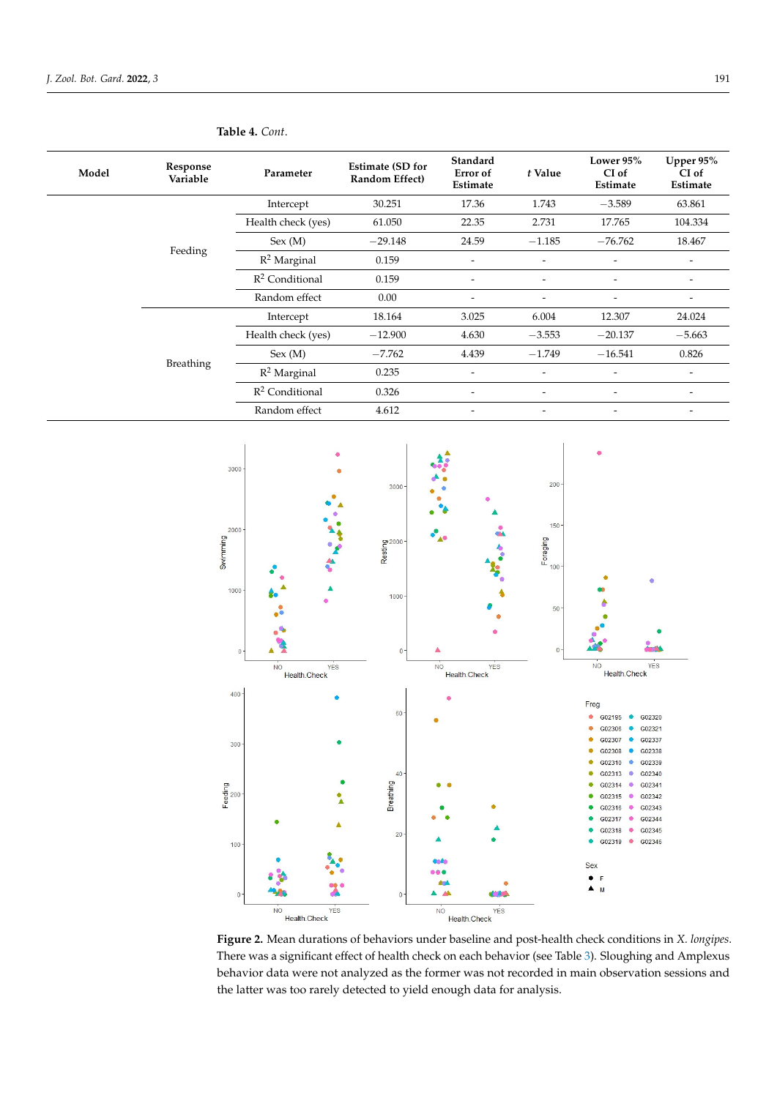| Model     | Response<br>Variable | Parameter          | <b>Estimate (SD for</b><br>Random Effect) | Standard<br>Error of<br>Estimate | t Value                  | Lower 95%<br>CI of<br>Estimate | Upper 95%<br>CI of<br>Estimate |
|-----------|----------------------|--------------------|-------------------------------------------|----------------------------------|--------------------------|--------------------------------|--------------------------------|
|           |                      | Intercept          | 30.251                                    | 17.36                            | 1.743                    | $-3.589$                       | 63.861                         |
|           |                      | Health check (yes) | 61.050                                    | 22.35                            | 2.731                    | 17.765                         | 104.334                        |
|           |                      | Sex (M)            | $-29.148$                                 | 24.59                            | $-1.185$                 | $-76.762$                      | 18.467                         |
|           | Feeding              | $R^2$ Marginal     | 0.159                                     | -                                | $\overline{\phantom{a}}$ | $\overline{\phantom{a}}$       |                                |
|           |                      | $R^2$ Conditional  | 0.159                                     | $\overline{\phantom{0}}$         | $\overline{\phantom{a}}$ | $\overline{\phantom{a}}$       | $\overline{\phantom{a}}$       |
|           |                      | Random effect      | 0.00                                      | -                                | $\overline{\phantom{a}}$ | $\overline{\phantom{a}}$       | -                              |
|           |                      | Intercept          | 18.164                                    | 3.025                            | 6.004                    | 12.307                         | 24.024                         |
|           |                      | Health check (yes) | $-12.900$                                 | 4.630                            | $-3.553$                 | $-20.137$                      | $-5.663$                       |
|           |                      | Sex (M)            | $-7.762$                                  | 4.439                            | $-1.749$                 | $-16.541$                      | 0.826                          |
| Breathing | $R^2$ Marginal       | 0.235              | $\overline{a}$                            | $\overline{a}$                   | $\overline{\phantom{0}}$ |                                |                                |
|           |                      | $R^2$ Conditional  | 0.326                                     | $\overline{\phantom{0}}$         | $\overline{\phantom{a}}$ | $\overline{\phantom{a}}$       |                                |
|           | Random effect        | 4.612              | -                                         | $\overline{\phantom{a}}$         | $\overline{\phantom{a}}$ |                                |                                |

### <span id="page-7-0"></span>**Table 4.** *Cont*.

<span id="page-7-1"></span>

**Figure 2.** Mean durations of behaviors under baseline and post-health check conditions in X. longipes. *pes*. There was a significant effect of health check on each behavior (see Table 4). Sloughing and There was a significant effect of health check on each behavior (see Table [3\)](#page-5-1). Sloughing and Amplexus Amplexus behavior data were not analyzed as the former was not recorded in main observations of  $\mathcal{L}$ behavior data were not analyzed as the former was not recorded in main observation sessions and the latter was too rarely detected to yield enough data for analysis.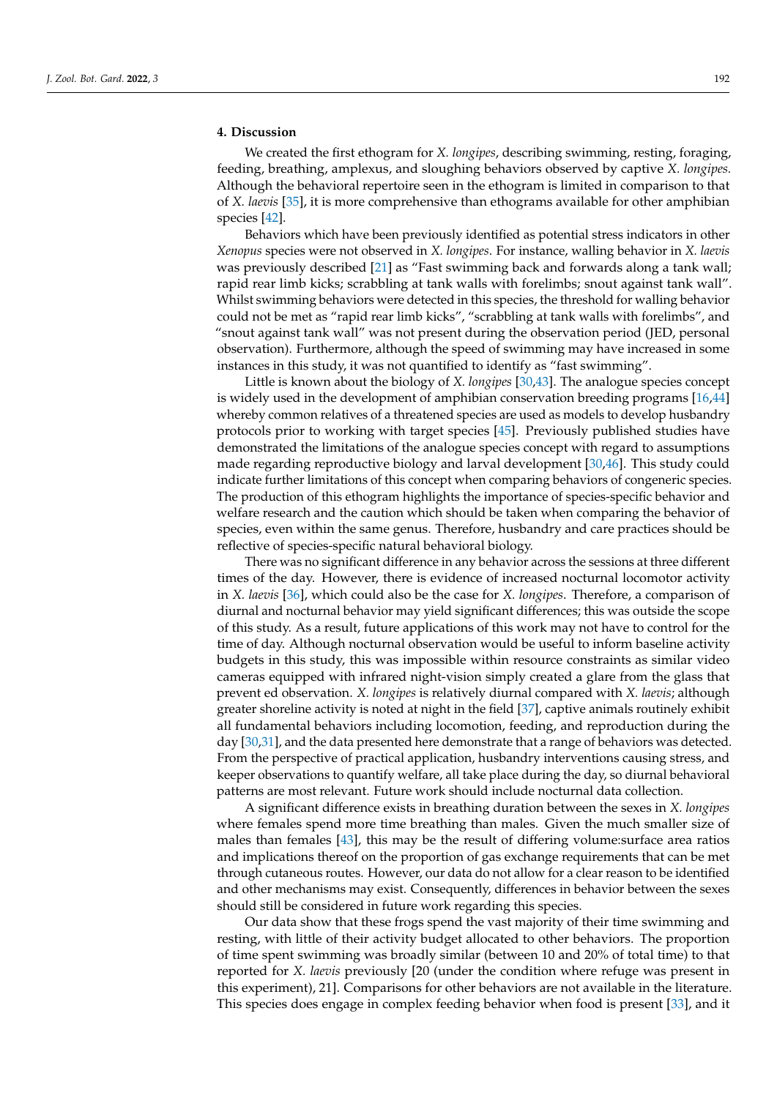### **4. Discussion**

We created the first ethogram for *X. longipes*, describing swimming, resting, foraging, feeding, breathing, amplexus, and sloughing behaviors observed by captive *X. longipes.* Although the behavioral repertoire seen in the ethogram is limited in comparison to that of *X. laevis* [\[35\]](#page-12-13), it is more comprehensive than ethograms available for other amphibian species [\[42\]](#page-12-20).

Behaviors which have been previously identified as potential stress indicators in other *Xenopus* species were not observed in *X. longipes*. For instance, walling behavior in *X. laevis* was previously described [\[21\]](#page-12-21) as "Fast swimming back and forwards along a tank wall; rapid rear limb kicks; scrabbling at tank walls with forelimbs; snout against tank wall". Whilst swimming behaviors were detected in this species, the threshold for walling behavior could not be met as "rapid rear limb kicks", "scrabbling at tank walls with forelimbs", and "snout against tank wall" was not present during the observation period (JED, personal observation). Furthermore, although the speed of swimming may have increased in some instances in this study, it was not quantified to identify as "fast swimming".

Little is known about the biology of *X. longipes* [\[30,](#page-12-8)[43\]](#page-12-22). The analogue species concept is widely used in the development of amphibian conservation breeding programs [\[16](#page-11-14)[,44\]](#page-12-23) whereby common relatives of a threatened species are used as models to develop husbandry protocols prior to working with target species [\[45\]](#page-13-0). Previously published studies have demonstrated the limitations of the analogue species concept with regard to assumptions made regarding reproductive biology and larval development [\[30,](#page-12-8)[46\]](#page-13-1). This study could indicate further limitations of this concept when comparing behaviors of congeneric species. The production of this ethogram highlights the importance of species-specific behavior and welfare research and the caution which should be taken when comparing the behavior of species, even within the same genus. Therefore, husbandry and care practices should be reflective of species-specific natural behavioral biology.

There was no significant difference in any behavior across the sessions at three different times of the day. However, there is evidence of increased nocturnal locomotor activity in *X. laevis* [\[36\]](#page-12-14), which could also be the case for *X. longipes*. Therefore, a comparison of diurnal and nocturnal behavior may yield significant differences; this was outside the scope of this study. As a result, future applications of this work may not have to control for the time of day. Although nocturnal observation would be useful to inform baseline activity budgets in this study, this was impossible within resource constraints as similar video cameras equipped with infrared night-vision simply created a glare from the glass that prevent ed observation. *X. longipes* is relatively diurnal compared with *X. laevis*; although greater shoreline activity is noted at night in the field [\[37\]](#page-12-15), captive animals routinely exhibit all fundamental behaviors including locomotion, feeding, and reproduction during the day [\[30](#page-12-8)[,31\]](#page-12-9), and the data presented here demonstrate that a range of behaviors was detected. From the perspective of practical application, husbandry interventions causing stress, and keeper observations to quantify welfare, all take place during the day, so diurnal behavioral patterns are most relevant. Future work should include nocturnal data collection.

A significant difference exists in breathing duration between the sexes in *X. longipes* where females spend more time breathing than males. Given the much smaller size of males than females [\[43\]](#page-12-22), this may be the result of differing volume:surface area ratios and implications thereof on the proportion of gas exchange requirements that can be met through cutaneous routes. However, our data do not allow for a clear reason to be identified and other mechanisms may exist. Consequently, differences in behavior between the sexes should still be considered in future work regarding this species.

Our data show that these frogs spend the vast majority of their time swimming and resting, with little of their activity budget allocated to other behaviors. The proportion of time spent swimming was broadly similar (between 10 and 20% of total time) to that reported for *X. laevis* previously [20 (under the condition where refuge was present in this experiment), 21]. Comparisons for other behaviors are not available in the literature. This species does engage in complex feeding behavior when food is present [\[33\]](#page-12-11), and it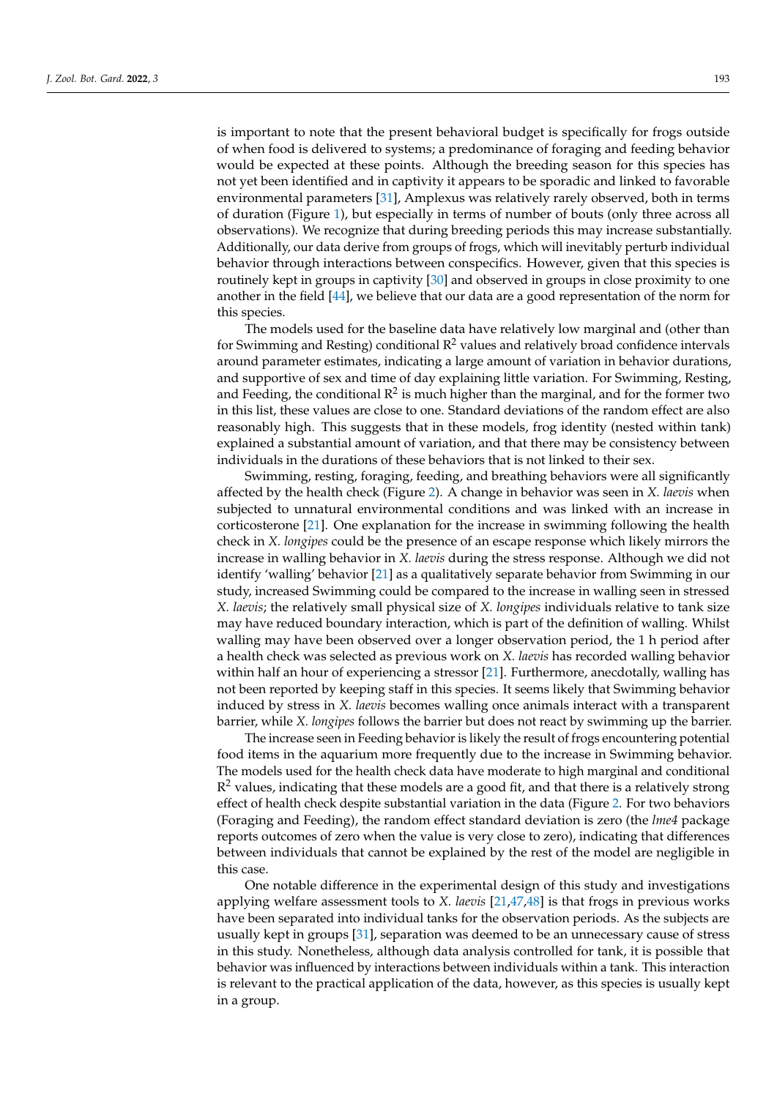is important to note that the present behavioral budget is specifically for frogs outside of when food is delivered to systems; a predominance of foraging and feeding behavior would be expected at these points. Although the breeding season for this species has not yet been identified and in captivity it appears to be sporadic and linked to favorable environmental parameters [\[31\]](#page-12-9), Amplexus was relatively rarely observed, both in terms of duration (Figure [1\)](#page-4-0), but especially in terms of number of bouts (only three across all observations). We recognize that during breeding periods this may increase substantially. Additionally, our data derive from groups of frogs, which will inevitably perturb individual behavior through interactions between conspecifics. However, given that this species is routinely kept in groups in captivity [\[30\]](#page-12-8) and observed in groups in close proximity to one another in the field [\[44\]](#page-12-23), we believe that our data are a good representation of the norm for this species.

The models used for the baseline data have relatively low marginal and (other than for Swimming and Resting) conditional  $R^2$  values and relatively broad confidence intervals around parameter estimates, indicating a large amount of variation in behavior durations, and supportive of sex and time of day explaining little variation. For Swimming, Resting, and Feeding, the conditional  $\mathsf{R}^2$  is much higher than the marginal, and for the former two in this list, these values are close to one. Standard deviations of the random effect are also reasonably high. This suggests that in these models, frog identity (nested within tank) explained a substantial amount of variation, and that there may be consistency between individuals in the durations of these behaviors that is not linked to their sex.

Swimming, resting, foraging, feeding, and breathing behaviors were all significantly affected by the health check (Figure [2\)](#page-7-1). A change in behavior was seen in *X. laevis* when subjected to unnatural environmental conditions and was linked with an increase in corticosterone [\[21\]](#page-12-21). One explanation for the increase in swimming following the health check in *X. longipes* could be the presence of an escape response which likely mirrors the increase in walling behavior in *X. laevis* during the stress response. Although we did not identify 'walling' behavior [\[21\]](#page-12-21) as a qualitatively separate behavior from Swimming in our study, increased Swimming could be compared to the increase in walling seen in stressed *X. laevis*; the relatively small physical size of *X. longipes* individuals relative to tank size may have reduced boundary interaction, which is part of the definition of walling. Whilst walling may have been observed over a longer observation period, the 1 h period after a health check was selected as previous work on *X. laevis* has recorded walling behavior within half an hour of experiencing a stressor [\[21\]](#page-12-21). Furthermore, anecdotally, walling has not been reported by keeping staff in this species. It seems likely that Swimming behavior induced by stress in *X. laevis* becomes walling once animals interact with a transparent barrier, while *X. longipes* follows the barrier but does not react by swimming up the barrier.

The increase seen in Feeding behavior is likely the result of frogs encountering potential food items in the aquarium more frequently due to the increase in Swimming behavior. The models used for the health check data have moderate to high marginal and conditional  $\mathbb{R}^2$  values, indicating that these models are a good fit, and that there is a relatively strong effect of health check despite substantial variation in the data (Figure [2.](#page-7-1) For two behaviors (Foraging and Feeding), the random effect standard deviation is zero (the *lme4* package reports outcomes of zero when the value is very close to zero), indicating that differences between individuals that cannot be explained by the rest of the model are negligible in this case.

One notable difference in the experimental design of this study and investigations applying welfare assessment tools to *X. laevis* [\[21,](#page-12-21)[47,](#page-13-2)[48\]](#page-13-3) is that frogs in previous works have been separated into individual tanks for the observation periods. As the subjects are usually kept in groups [\[31\]](#page-12-9), separation was deemed to be an unnecessary cause of stress in this study. Nonetheless, although data analysis controlled for tank, it is possible that behavior was influenced by interactions between individuals within a tank. This interaction is relevant to the practical application of the data, however, as this species is usually kept in a group.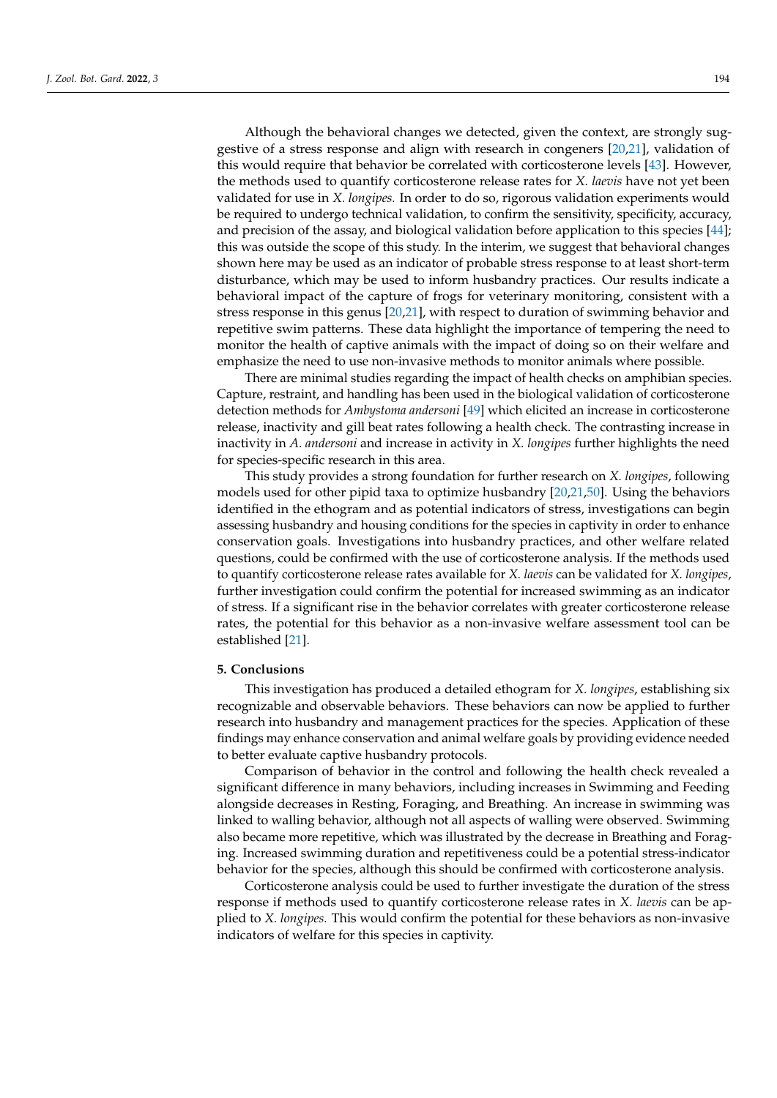Although the behavioral changes we detected, given the context, are strongly suggestive of a stress response and align with research in congeners [\[20,](#page-12-24)[21\]](#page-12-21), validation of this would require that behavior be correlated with corticosterone levels [\[43\]](#page-12-22). However, the methods used to quantify corticosterone release rates for *X. laevis* have not yet been validated for use in *X. longipes.* In order to do so, rigorous validation experiments would be required to undergo technical validation, to confirm the sensitivity, specificity, accuracy, and precision of the assay, and biological validation before application to this species [\[44\]](#page-12-23); this was outside the scope of this study. In the interim, we suggest that behavioral changes shown here may be used as an indicator of probable stress response to at least short-term disturbance, which may be used to inform husbandry practices. Our results indicate a behavioral impact of the capture of frogs for veterinary monitoring, consistent with a stress response in this genus [\[20,](#page-12-24)[21\]](#page-12-21), with respect to duration of swimming behavior and repetitive swim patterns. These data highlight the importance of tempering the need to monitor the health of captive animals with the impact of doing so on their welfare and emphasize the need to use non-invasive methods to monitor animals where possible.

There are minimal studies regarding the impact of health checks on amphibian species. Capture, restraint, and handling has been used in the biological validation of corticosterone detection methods for *Ambystoma andersoni* [\[49\]](#page-13-4) which elicited an increase in corticosterone release, inactivity and gill beat rates following a health check. The contrasting increase in inactivity in *A. andersoni* and increase in activity in *X. longipes* further highlights the need for species-specific research in this area.

This study provides a strong foundation for further research on *X. longipes*, following models used for other pipid taxa to optimize husbandry [\[20](#page-12-24)[,21](#page-12-21)[,50\]](#page-13-5). Using the behaviors identified in the ethogram and as potential indicators of stress, investigations can begin assessing husbandry and housing conditions for the species in captivity in order to enhance conservation goals. Investigations into husbandry practices, and other welfare related questions, could be confirmed with the use of corticosterone analysis. If the methods used to quantify corticosterone release rates available for *X. laevis* can be validated for *X. longipes*, further investigation could confirm the potential for increased swimming as an indicator of stress. If a significant rise in the behavior correlates with greater corticosterone release rates, the potential for this behavior as a non-invasive welfare assessment tool can be established [\[21\]](#page-12-21).

#### **5. Conclusions**

This investigation has produced a detailed ethogram for *X. longipes*, establishing six recognizable and observable behaviors. These behaviors can now be applied to further research into husbandry and management practices for the species. Application of these findings may enhance conservation and animal welfare goals by providing evidence needed to better evaluate captive husbandry protocols.

Comparison of behavior in the control and following the health check revealed a significant difference in many behaviors, including increases in Swimming and Feeding alongside decreases in Resting, Foraging, and Breathing. An increase in swimming was linked to walling behavior, although not all aspects of walling were observed. Swimming also became more repetitive, which was illustrated by the decrease in Breathing and Foraging. Increased swimming duration and repetitiveness could be a potential stress-indicator behavior for the species, although this should be confirmed with corticosterone analysis.

Corticosterone analysis could be used to further investigate the duration of the stress response if methods used to quantify corticosterone release rates in *X. laevis* can be applied to *X. longipes.* This would confirm the potential for these behaviors as non-invasive indicators of welfare for this species in captivity.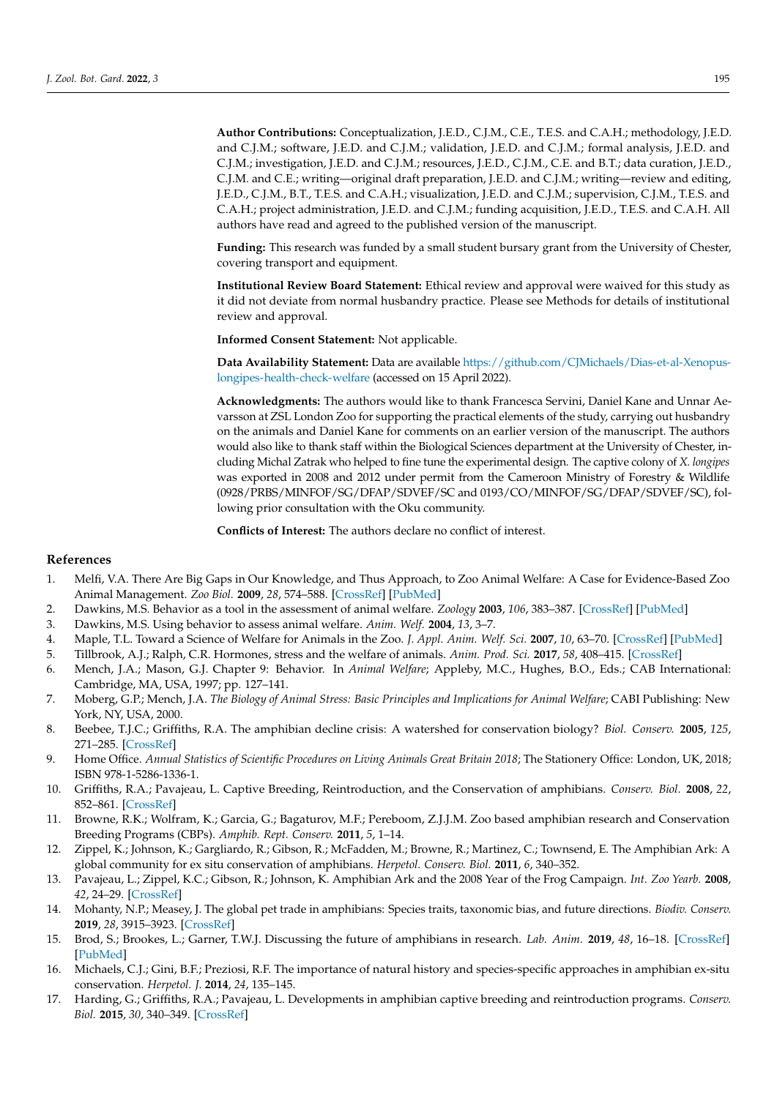**Author Contributions:** Conceptualization, J.E.D., C.J.M., C.E., T.E.S. and C.A.H.; methodology, J.E.D. and C.J.M.; software, J.E.D. and C.J.M.; validation, J.E.D. and C.J.M.; formal analysis, J.E.D. and C.J.M.; investigation, J.E.D. and C.J.M.; resources, J.E.D., C.J.M., C.E. and B.T.; data curation, J.E.D., C.J.M. and C.E.; writing—original draft preparation, J.E.D. and C.J.M.; writing—review and editing, J.E.D., C.J.M., B.T., T.E.S. and C.A.H.; visualization, J.E.D. and C.J.M.; supervision, C.J.M., T.E.S. and C.A.H.; project administration, J.E.D. and C.J.M.; funding acquisition, J.E.D., T.E.S. and C.A.H. All authors have read and agreed to the published version of the manuscript.

**Funding:** This research was funded by a small student bursary grant from the University of Chester, covering transport and equipment.

**Institutional Review Board Statement:** Ethical review and approval were waived for this study as it did not deviate from normal husbandry practice. Please see Methods for details of institutional review and approval.

**Informed Consent Statement:** Not applicable.

**Data Availability Statement:** Data are available [https://github.com/CJMichaels/Dias-et-al-Xenopus](https://github.com/CJMichaels/Dias-et-al-Xenopus-longipes-health-check-welfare)[longipes-health-check-welfare](https://github.com/CJMichaels/Dias-et-al-Xenopus-longipes-health-check-welfare) (accessed on 15 April 2022).

**Acknowledgments:** The authors would like to thank Francesca Servini, Daniel Kane and Unnar Aevarsson at ZSL London Zoo for supporting the practical elements of the study, carrying out husbandry on the animals and Daniel Kane for comments on an earlier version of the manuscript. The authors would also like to thank staff within the Biological Sciences department at the University of Chester, including Michal Zatrak who helped to fine tune the experimental design. The captive colony of *X. longipes* was exported in 2008 and 2012 under permit from the Cameroon Ministry of Forestry & Wildlife (0928/PRBS/MINFOF/SG/DFAP/SDVEF/SC and 0193/CO/MINFOF/SG/DFAP/SDVEF/SC), following prior consultation with the Oku community.

**Conflicts of Interest:** The authors declare no conflict of interest.

### **References**

- <span id="page-11-0"></span>1. Melfi, V.A. There Are Big Gaps in Our Knowledge, and Thus Approach, to Zoo Animal Welfare: A Case for Evidence-Based Zoo Animal Management. *Zoo Biol.* **2009**, *28*, 574–588. [\[CrossRef\]](http://doi.org/10.1002/zoo.20288) [\[PubMed\]](http://www.ncbi.nlm.nih.gov/pubmed/19876912)
- <span id="page-11-1"></span>2. Dawkins, M.S. Behavior as a tool in the assessment of animal welfare. *Zoology* **2003**, *106*, 383–387. [\[CrossRef\]](http://doi.org/10.1078/0944-2006-00122) [\[PubMed\]](http://www.ncbi.nlm.nih.gov/pubmed/16351922)
- <span id="page-11-2"></span>3. Dawkins, M.S. Using behavior to assess animal welfare. *Anim. Welf.* **2004**, *13*, 3–7.
- <span id="page-11-3"></span>4. Maple, T.L. Toward a Science of Welfare for Animals in the Zoo. *J. Appl. Anim. Welf. Sci.* **2007**, *10*, 63–70. [\[CrossRef\]](http://doi.org/10.1080/10888700701277659) [\[PubMed\]](http://www.ncbi.nlm.nih.gov/pubmed/17484680)
- <span id="page-11-4"></span>5. Tillbrook, A.J.; Ralph, C.R. Hormones, stress and the welfare of animals. *Anim. Prod. Sci.* **2017**, *58*, 408–415. [\[CrossRef\]](http://doi.org/10.1071/AN16808)
- <span id="page-11-5"></span>6. Mench, J.A.; Mason, G.J. Chapter 9: Behavior. In *Animal Welfare*; Appleby, M.C., Hughes, B.O., Eds.; CAB International: Cambridge, MA, USA, 1997; pp. 127–141.
- <span id="page-11-6"></span>7. Moberg, G.P.; Mench, J.A. *The Biology of Animal Stress: Basic Principles and Implications for Animal Welfare*; CABI Publishing: New York, NY, USA, 2000.
- <span id="page-11-7"></span>8. Beebee, T.J.C.; Griffiths, R.A. The amphibian decline crisis: A watershed for conservation biology? *Biol. Conserv.* **2005**, *125*, 271–285. [\[CrossRef\]](http://doi.org/10.1016/j.biocon.2005.04.009)
- <span id="page-11-8"></span>9. Home Office. *Annual Statistics of Scientific Procedures on Living Animals Great Britain 2018*; The Stationery Office: London, UK, 2018; ISBN 978-1-5286-1336-1.
- <span id="page-11-9"></span>10. Griffiths, R.A.; Pavajeau, L. Captive Breeding, Reintroduction, and the Conservation of amphibians. *Conserv. Biol.* **2008**, *22*, 852–861. [\[CrossRef\]](http://doi.org/10.1111/j.1523-1739.2008.00967.x)
- 11. Browne, R.K.; Wolfram, K.; Garcia, G.; Bagaturov, M.F.; Pereboom, Z.J.J.M. Zoo based amphibian research and Conservation Breeding Programs (CBPs). *Amphib. Rept. Conserv.* **2011**, *5*, 1–14.
- <span id="page-11-10"></span>12. Zippel, K.; Johnson, K.; Gargliardo, R.; Gibson, R.; McFadden, M.; Browne, R.; Martinez, C.; Townsend, E. The Amphibian Ark: A global community for ex situ conservation of amphibians. *Herpetol. Conserv. Biol.* **2011**, *6*, 340–352.
- <span id="page-11-11"></span>13. Pavajeau, L.; Zippel, K.C.; Gibson, R.; Johnson, K. Amphibian Ark and the 2008 Year of the Frog Campaign. *Int. Zoo Yearb.* **2008**, *42*, 24–29. [\[CrossRef\]](http://doi.org/10.1111/j.1748-1090.2007.00038.x)
- <span id="page-11-12"></span>14. Mohanty, N.P.; Measey, J. The global pet trade in amphibians: Species traits, taxonomic bias, and future directions. *Biodiv. Conserv.* **2019**, *28*, 3915–3923. [\[CrossRef\]](http://doi.org/10.1007/s10531-019-01857-x)
- <span id="page-11-13"></span>15. Brod, S.; Brookes, L.; Garner, T.W.J. Discussing the future of amphibians in research. *Lab. Anim.* **2019**, *48*, 16–18. [\[CrossRef\]](http://doi.org/10.1038/s41684-018-0193-6) [\[PubMed\]](http://www.ncbi.nlm.nih.gov/pubmed/30397267)
- <span id="page-11-14"></span>16. Michaels, C.J.; Gini, B.F.; Preziosi, R.F. The importance of natural history and species-specific approaches in amphibian ex-situ conservation. *Herpetol. J.* **2014**, *24*, 135–145.
- <span id="page-11-15"></span>17. Harding, G.; Griffiths, R.A.; Pavajeau, L. Developments in amphibian captive breeding and reintroduction programs. *Conserv. Biol.* **2015**, *30*, 340–349. [\[CrossRef\]](http://doi.org/10.1111/cobi.12612)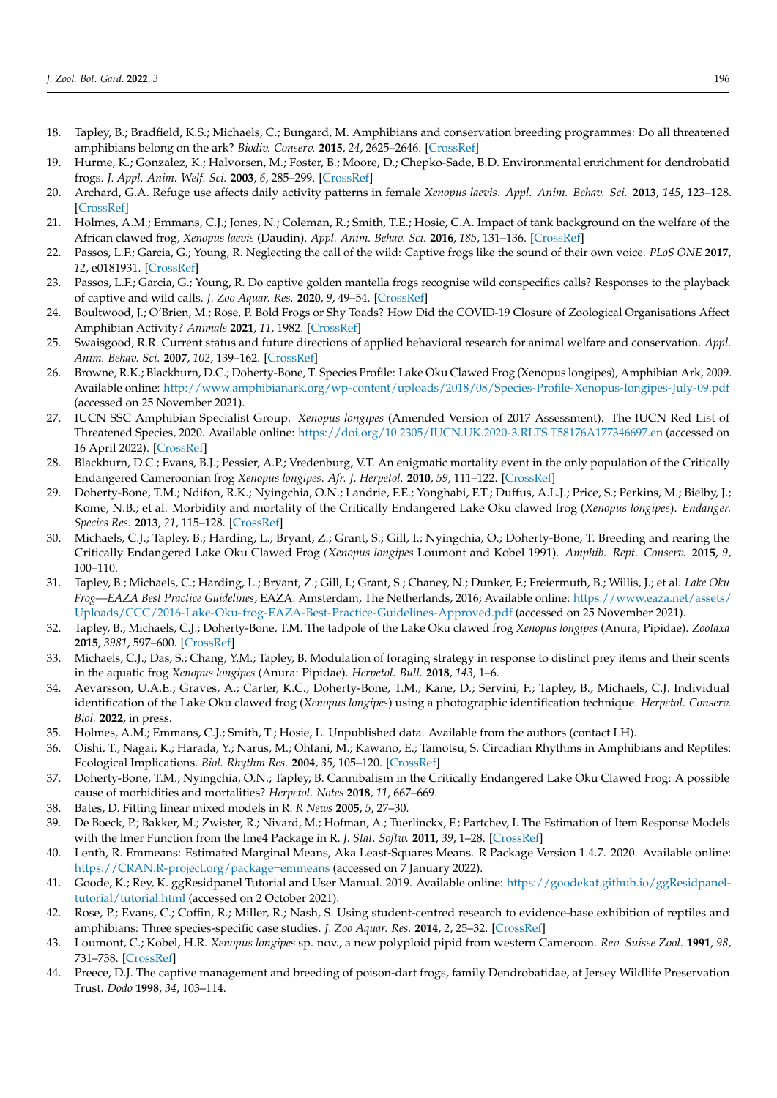- <span id="page-12-0"></span>18. Tapley, B.; Bradfield, K.S.; Michaels, C.; Bungard, M. Amphibians and conservation breeding programmes: Do all threatened amphibians belong on the ark? *Biodiv. Conserv.* **2015**, *24*, 2625–2646. [\[CrossRef\]](http://doi.org/10.1007/s10531-015-0966-9)
- <span id="page-12-1"></span>19. Hurme, K.; Gonzalez, K.; Halvorsen, M.; Foster, B.; Moore, D.; Chepko-Sade, B.D. Environmental enrichment for dendrobatid frogs. *J. Appl. Anim. Welf. Sci.* **2003**, *6*, 285–299. [\[CrossRef\]](http://doi.org/10.1207/s15327604jaws0604_3)
- <span id="page-12-24"></span>20. Archard, G.A. Refuge use affects daily activity patterns in female *Xenopus laevis*. *Appl. Anim. Behav. Sci.* **2013**, *145*, 123–128. [\[CrossRef\]](http://doi.org/10.1016/j.applanim.2013.02.006)
- <span id="page-12-21"></span>21. Holmes, A.M.; Emmans, C.J.; Jones, N.; Coleman, R.; Smith, T.E.; Hosie, C.A. Impact of tank background on the welfare of the African clawed frog, *Xenopus laevis* (Daudin). *Appl. Anim. Behav. Sci.* **2016**, *185*, 131–136. [\[CrossRef\]](http://doi.org/10.1016/j.applanim.2016.09.005)
- 22. Passos, L.F.; Garcia, G.; Young, R. Neglecting the call of the wild: Captive frogs like the sound of their own voice. *PLoS ONE* **2017**, *12*, e0181931. [\[CrossRef\]](http://doi.org/10.1371/journal.pone.0181931)
- 23. Passos, L.F.; Garcia, G.; Young, R. Do captive golden mantella frogs recognise wild conspecifics calls? Responses to the playback of captive and wild calls. *J. Zoo Aquar. Res.* **2020**, *9*, 49–54. [\[CrossRef\]](http://doi.org/10.19227/jzar.v9i1.476)
- <span id="page-12-2"></span>24. Boultwood, J.; O'Brien, M.; Rose, P. Bold Frogs or Shy Toads? How Did the COVID-19 Closure of Zoological Organisations Affect Amphibian Activity? *Animals* **2021**, *11*, 1982. [\[CrossRef\]](http://doi.org/10.3390/ani11071982)
- <span id="page-12-3"></span>25. Swaisgood, R.R. Current status and future directions of applied behavioral research for animal welfare and conservation. *Appl. Anim. Behav. Sci.* **2007**, *102*, 139–162. [\[CrossRef\]](http://doi.org/10.1016/j.applanim.2006.05.027)
- <span id="page-12-4"></span>26. Browne, R.K.; Blackburn, D.C.; Doherty-Bone, T. Species Profile: Lake Oku Clawed Frog (Xenopus longipes), Amphibian Ark, 2009. Available online: <http://www.amphibianark.org/wp-content/uploads/2018/08/Species-Profile-Xenopus-longipes-July-09.pdf> (accessed on 25 November 2021).
- <span id="page-12-5"></span>27. IUCN SSC Amphibian Specialist Group. *Xenopus longipes* (Amended Version of 2017 Assessment). The IUCN Red List of Threatened Species, 2020. Available online: <https://doi.org/10.2305/IUCN.UK.2020-3.RLTS.T58176A177346697.en> (accessed on 16 April 2022). [\[CrossRef\]](http://doi.org/10.2305/IUCN.UK.2020-3.RLTS.T58176A177346697.en)
- <span id="page-12-6"></span>28. Blackburn, D.C.; Evans, B.J.; Pessier, A.P.; Vredenburg, V.T. An enigmatic mortality event in the only population of the Critically Endangered Cameroonian frog *Xenopus longipes*. *Afr. J. Herpetol.* **2010**, *59*, 111–122. [\[CrossRef\]](http://doi.org/10.1080/04416651.2010.495674)
- <span id="page-12-7"></span>29. Doherty-Bone, T.M.; Ndifon, R.K.; Nyingchia, O.N.; Landrie, F.E.; Yonghabi, F.T.; Duffus, A.L.J.; Price, S.; Perkins, M.; Bielby, J.; Kome, N.B.; et al. Morbidity and mortality of the Critically Endangered Lake Oku clawed frog (*Xenopus longipes*). *Endanger. Species Res.* **2013**, *21*, 115–128. [\[CrossRef\]](http://doi.org/10.3354/esr00514)
- <span id="page-12-8"></span>30. Michaels, C.J.; Tapley, B.; Harding, L.; Bryant, Z.; Grant, S.; Gill, I.; Nyingchia, O.; Doherty-Bone, T. Breeding and rearing the Critically Endangered Lake Oku Clawed Frog *(Xenopus longipes* Loumont and Kobel 1991). *Amphib. Rept. Conserv.* **2015**, *9*, 100–110.
- <span id="page-12-9"></span>31. Tapley, B.; Michaels, C.; Harding, L.; Bryant, Z.; Gill, I.; Grant, S.; Chaney, N.; Dunker, F.; Freiermuth, B.; Willis, J.; et al. *Lake Oku Frog—EAZA Best Practice Guidelines*; EAZA: Amsterdam, The Netherlands, 2016; Available online: [https://www.eaza.net/assets/](https://www.eaza.net/assets/Uploads/CCC/2016-Lake-Oku-frog-EAZA-Best-Practice-Guidelines-Approved.pdf) [Uploads/CCC/2016-Lake-Oku-frog-EAZA-Best-Practice-Guidelines-Approved.pdf](https://www.eaza.net/assets/Uploads/CCC/2016-Lake-Oku-frog-EAZA-Best-Practice-Guidelines-Approved.pdf) (accessed on 25 November 2021).
- <span id="page-12-10"></span>32. Tapley, B.; Michaels, C.J.; Doherty-Bone, T.M. The tadpole of the Lake Oku clawed frog *Xenopus longipes* (Anura; Pipidae). *Zootaxa* **2015**, *3981*, 597–600. [\[CrossRef\]](http://doi.org/10.11646/zootaxa.3981.4.10)
- <span id="page-12-11"></span>33. Michaels, C.J.; Das, S.; Chang, Y.M.; Tapley, B. Modulation of foraging strategy in response to distinct prey items and their scents in the aquatic frog *Xenopus longipes* (Anura: Pipidae). *Herpetol. Bull.* **2018**, *143*, 1–6.
- <span id="page-12-12"></span>34. Aevarsson, U.A.E.; Graves, A.; Carter, K.C.; Doherty-Bone, T.M.; Kane, D.; Servini, F.; Tapley, B.; Michaels, C.J. Individual identification of the Lake Oku clawed frog (*Xenopus longipes*) using a photographic identification technique. *Herpetol. Conserv. Biol.* **2022**, in press.
- <span id="page-12-13"></span>35. Holmes, A.M.; Emmans, C.J.; Smith, T.; Hosie, L. Unpublished data. Available from the authors (contact LH).
- <span id="page-12-14"></span>36. Oishi, T.; Nagai, K.; Harada, Y.; Narus, M.; Ohtani, M.; Kawano, E.; Tamotsu, S. Circadian Rhythms in Amphibians and Reptiles: Ecological Implications. *Biol. Rhythm Res.* **2004**, *35*, 105–120. [\[CrossRef\]](http://doi.org/10.1080/09291010412331313278)
- <span id="page-12-15"></span>37. Doherty-Bone, T.M.; Nyingchia, O.N.; Tapley, B. Cannibalism in the Critically Endangered Lake Oku Clawed Frog: A possible cause of morbidities and mortalities? *Herpetol. Notes* **2018**, *11*, 667–669.
- <span id="page-12-16"></span>38. Bates, D. Fitting linear mixed models in R. *R News* **2005**, *5*, 27–30.
- <span id="page-12-17"></span>39. De Boeck, P.; Bakker, M.; Zwister, R.; Nivard, M.; Hofman, A.; Tuerlinckx, F.; Partchev, I. The Estimation of Item Response Models with the lmer Function from the lme4 Package in R. *J. Stat. Softw.* **2011**, *39*, 1–28. [\[CrossRef\]](http://doi.org/10.18637/jss.v039.i12)
- <span id="page-12-18"></span>40. Lenth, R. Emmeans: Estimated Marginal Means, Aka Least-Squares Means. R Package Version 1.4.7. 2020. Available online: <https://CRAN.R-project.org/package=emmeans> (accessed on 7 January 2022).
- <span id="page-12-19"></span>41. Goode, K.; Rey, K. ggResidpanel Tutorial and User Manual. 2019. Available online: [https://goodekat.github.io/ggResidpanel](https://goodekat.github.io/ggResidpanel-tutorial/tutorial.html)[tutorial/tutorial.html](https://goodekat.github.io/ggResidpanel-tutorial/tutorial.html) (accessed on 2 October 2021).
- <span id="page-12-20"></span>42. Rose, P.; Evans, C.; Coffin, R.; Miller, R.; Nash, S. Using student-centred research to evidence-base exhibition of reptiles and amphibians: Three species-specific case studies. *J. Zoo Aquar. Res.* **2014**, *2*, 25–32. [\[CrossRef\]](http://doi.org/10.19227/jzar.v2i1.23)
- <span id="page-12-22"></span>43. Loumont, C.; Kobel, H.R. *Xenopus longipes* sp. nov., a new polyploid pipid from western Cameroon. *Rev. Suisse Zool.* **1991**, *98*, 731–738. [\[CrossRef\]](http://doi.org/10.5962/bhl.part.79810)
- <span id="page-12-23"></span>44. Preece, D.J. The captive management and breeding of poison-dart frogs, family Dendrobatidae, at Jersey Wildlife Preservation Trust. *Dodo* **1998**, *34*, 103–114.